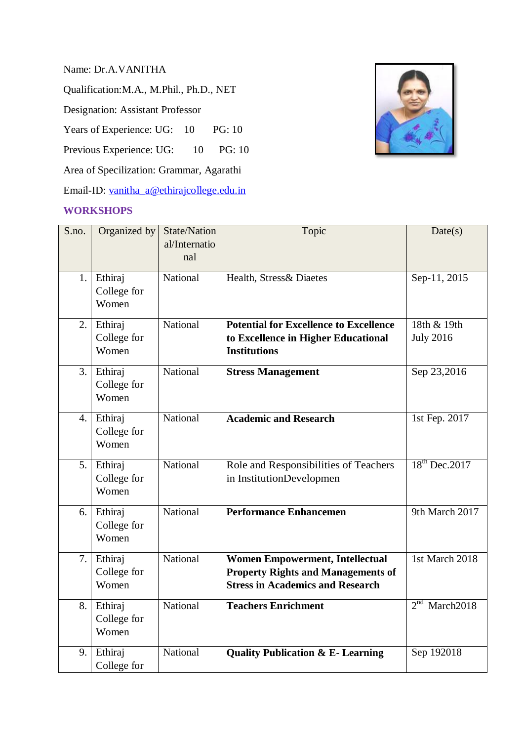Name: Dr.A.VANITHA

Qualification:M.A., M.Phil., Ph.D., NET

Designation: Assistant Professor

Years of Experience: UG: 10 PG: 10

Previous Experience: UG: 10 PG: 10

Area of Specilization: Grammar, Agarathi

Email-ID: [vanitha\\_a@ethirajcollege.edu.in](mailto:vanitha_a@ethirajcollege.edu.in)

## **WORKSHOPS**



| S.no. | Organized by         | <b>State/Nation</b><br>al/Internatio | Topic                                         | Date(s)                   |
|-------|----------------------|--------------------------------------|-----------------------------------------------|---------------------------|
|       |                      | nal                                  |                                               |                           |
| 1.    | Ethiraj              | National                             | Health, Stress& Diaetes                       | Sep-11, 2015              |
|       | College for<br>Women |                                      |                                               |                           |
| 2.    | Ethiraj              | National                             | <b>Potential for Excellence to Excellence</b> | 18th & 19th               |
|       | College for          |                                      | to Excellence in Higher Educational           | <b>July 2016</b>          |
|       | Women                |                                      | <b>Institutions</b>                           |                           |
| 3.    | Ethiraj              | National                             | <b>Stress Management</b>                      | Sep 23,2016               |
|       | College for          |                                      |                                               |                           |
|       | Women                |                                      |                                               |                           |
| 4.    | Ethiraj              | National                             | <b>Academic and Research</b>                  | 1st Fep. 2017             |
|       | College for          |                                      |                                               |                           |
|       | Women                |                                      |                                               |                           |
| 5.1   | Ethiraj              | National                             | Role and Responsibilities of Teachers         | $18th$ Dec. 2017          |
|       | College for          |                                      | in InstitutionDevelopmen                      |                           |
|       | Women                |                                      |                                               |                           |
| 6.    | Ethiraj              | National                             | <b>Performance Enhancemen</b>                 | 9th March 2017            |
|       | College for          |                                      |                                               |                           |
|       | Women                |                                      |                                               |                           |
| 7.    | Ethiraj              | National                             | <b>Women Empowerment, Intellectual</b>        | 1st March 2018            |
|       | College for          |                                      | <b>Property Rights and Managements of</b>     |                           |
|       | Women                |                                      | <b>Stress in Academics and Research</b>       |                           |
| 8.    | Ethiraj              | National                             | <b>Teachers Enrichment</b>                    | 2 <sup>nd</sup> March2018 |
|       | College for          |                                      |                                               |                           |
|       | Women                |                                      |                                               |                           |
| 9.    | Ethiraj              | National                             | <b>Quality Publication &amp; E- Learning</b>  | Sep 192018                |
|       | College for          |                                      |                                               |                           |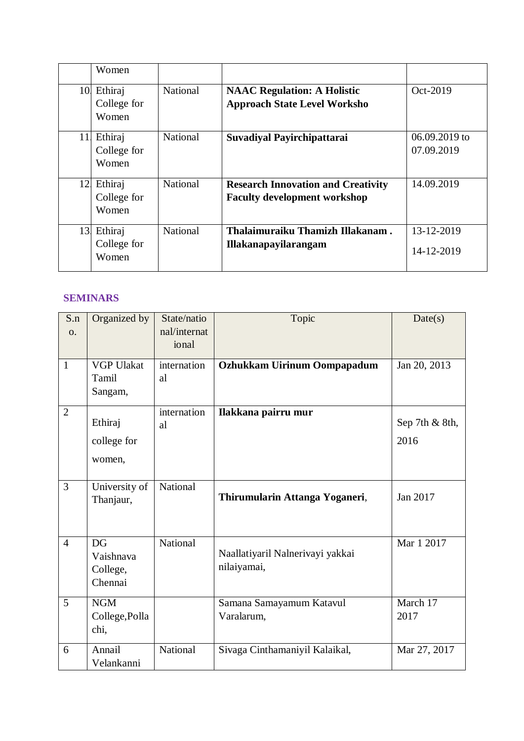|     | Women                           |                 |                                                                                  |                               |
|-----|---------------------------------|-----------------|----------------------------------------------------------------------------------|-------------------------------|
| 10. | Ethiraj<br>College for<br>Women | <b>National</b> | <b>NAAC Regulation: A Holistic</b><br><b>Approach State Level Worksho</b>        | Oct-2019                      |
| 11  | Ethiraj<br>College for<br>Women | National        | Suvadiyal Payirchipattarai                                                       | $06.09.2019$ to<br>07.09.2019 |
| 12. | Ethiraj<br>College for<br>Women | <b>National</b> | <b>Research Innovation and Creativity</b><br><b>Faculty development workshop</b> | 14.09.2019                    |
| 13. | Ethiraj<br>College for<br>Women | <b>National</b> | Thalaimuraiku Thamizh Illakanam.<br><b>Illakanapayilarangam</b>                  | 13-12-2019<br>14-12-2019      |

## **SEMINARS**

| S.n<br>$\Omega$ . | Organized by                           | State/natio<br>nal/internat<br>ional | Topic                                           | Date(s)                |
|-------------------|----------------------------------------|--------------------------------------|-------------------------------------------------|------------------------|
| $\mathbf{1}$      | <b>VGP Ulakat</b><br>Tamil<br>Sangam,  | internation<br>al                    | <b>Ozhukkam Uirinum Oompapadum</b>              | Jan 20, 2013           |
| $\overline{2}$    | Ethiraj<br>college for<br>women,       | internation<br>al                    | Ilakkana pairru mur                             | Sep 7th & 8th,<br>2016 |
| $\overline{3}$    | University of<br>Thanjaur,             | National                             | Thirumularin Attanga Yoganeri,                  | Jan 2017               |
| $\overline{4}$    | DG<br>Vaishnava<br>College,<br>Chennai | <b>National</b>                      | Naallatiyaril Nalnerivayi yakkai<br>nilaiyamai, | Mar 1 2017             |
| 5                 | <b>NGM</b><br>College, Polla<br>chi,   |                                      | Samana Samayamum Katavul<br>Varalarum,          | March 17<br>2017       |
| 6                 | Annail<br>Velankanni                   | National                             | Sivaga Cinthamaniyil Kalaikal,                  | Mar 27, 2017           |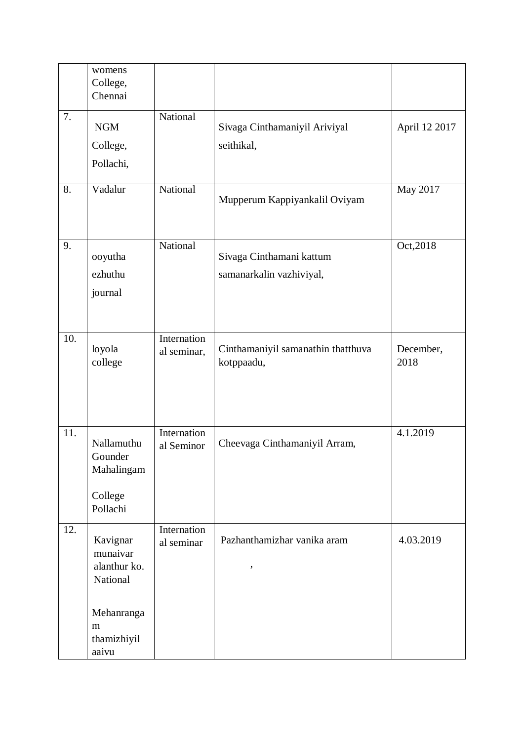|     | womens<br>College,<br>Chennai                              |                            |                                                      |                   |
|-----|------------------------------------------------------------|----------------------------|------------------------------------------------------|-------------------|
| 7.  | <b>NGM</b><br>College,<br>Pollachi,                        | National                   | Sivaga Cinthamaniyil Ariviyal<br>seithikal,          | April 12 2017     |
| 8.  | Vadalur                                                    | National                   | Mupperum Kappiyankalil Oviyam                        | May 2017          |
| 9.  | ooyutha<br>ezhuthu<br>journal                              | National                   | Sivaga Cinthamani kattum<br>samanarkalin vazhiviyal, | Oct, 2018         |
| 10. | loyola<br>college                                          | Internation<br>al seminar, | Cinthamaniyil samanathin thatthuva<br>kotppaadu,     | December,<br>2018 |
| 11. | Nallamuthu<br>Gounder<br>Mahalingam<br>College<br>Pollachi | Internation<br>al Seminor  | Cheevaga Cinthamaniyil Arram,                        | 4.1.2019          |
| 12. | Kavignar<br>munaivar<br>alanthur ko.<br>National           | Internation<br>al seminar  | Pazhanthamizhar vanika aram<br>$\pmb{\mathfrak{y}}$  | 4.03.2019         |
|     | Mehanranga<br>m<br>thamizhiyil<br>aaivu                    |                            |                                                      |                   |